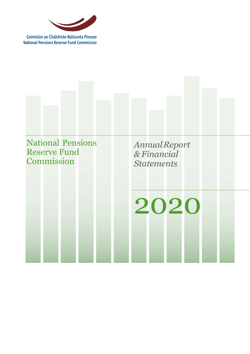

Coimisiún an Chúlchiste Náisiunta Pinsean **National Pensions Reserve Fund Commission** 

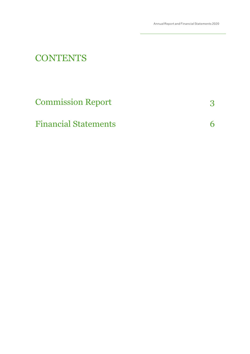# **CONTENTS**

| <b>Commission Report</b>    |  |
|-----------------------------|--|
| <b>Financial Statements</b> |  |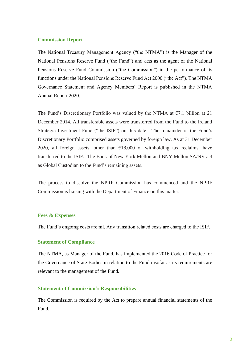## **Commission Report**

The National Treasury Management Agency ("the NTMA") is the Manager of the National Pensions Reserve Fund ("the Fund") and acts as the agent of the National Pensions Reserve Fund Commission ("the Commission") in the performance of its functions under the National Pensions Reserve Fund Act 2000 ("the Act"). The NTMA Governance Statement and Agency Members' Report is published in the NTMA Annual Report 2020.

The Fund's Discretionary Portfolio was valued by the NTMA at  $\epsilon$ 7.1 billion at 21 December 2014. All transferable assets were transferred from the Fund to the Ireland Strategic Investment Fund ("the ISIF") on this date. The remainder of the Fund's Discretionary Portfolio comprised assets governed by foreign law. As at 31 December 2020, all foreign assets, other than  $£18,000$  of withholding tax reclaims, have transferred to the ISIF. The Bank of New York Mellon and BNY Mellon SA/NV act as Global Custodian to the Fund's remaining assets.

The process to dissolve the NPRF Commission has commenced and the NPRF Commission is liaising with the Department of Finance on this matter.

## **Fees & Expenses**

The Fund's ongoing costs are nil. Any transition related costs are charged to the ISIF.

## **Statement of Compliance**

The NTMA, as Manager of the Fund, has implemented the 2016 Code of Practice for the Governance of State Bodies in relation to the Fund insofar as its requirements are relevant to the management of the Fund.

## **Statement of Commission's Responsibilities**

The Commission is required by the Act to prepare annual financial statements of the Fund.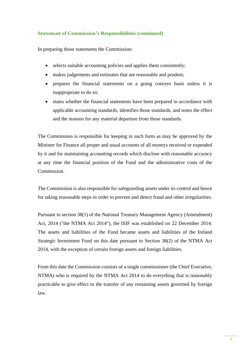## **Statement of Commission's Responsibilities (continued)**

In preparing those statements the Commission:

- selects suitable accounting policies and applies them consistently;
- makes judgements and estimates that are reasonable and prudent;
- prepares the financial statements on a going concern basis unless it is inappropriate to do so;
- states whether the financial statements have been prepared in accordance with applicable accounting standards, identifies those standards, and notes the effect and the reasons for any material departure from those standards.

The Commission is responsible for keeping in such form as may be approved by the Minister for Finance all proper and usual accounts of all moneys received or expended by it and for maintaining accounting records which disclose with reasonable accuracy at any time the financial position of the Fund and the administrative costs of the Commission.

The Commission is also responsible for safeguarding assets under its control and hence for taking reasonable steps in order to prevent and detect fraud and other irregularities.

Pursuant to section 38(1) of the National Treasury Management Agency (Amendment) Act, 2014 ("the NTMA Act 2014"), the ISIF was established on 22 December 2014. The assets and liabilities of the Fund became assets and liabilities of the Ireland Strategic Investment Fund on this date pursuant to Section 38(2) of the NTMA Act 2014, with the exception of certain foreign assets and foreign liabilities.

From this date the Commission consists of a single commissioner (the Chief Executive, NTMA) who is required by the NTMA Act 2014 to do everything that is reasonably practicable to give effect to the transfer of any remaining assets governed by foreign law.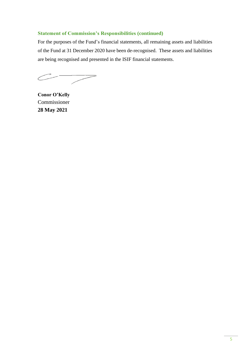## **Statement of Commission's Responsibilities (continued)**

For the purposes of the Fund's financial statements, all remaining assets and liabilities of the Fund at 31 December 2020 have been de-recognised. These assets and liabilities are being recognised and presented in the ISIF financial statements.

 $\overline{\phantom{0}}$ 

**Conor O'Kelly** Commissioner **28 May 2021**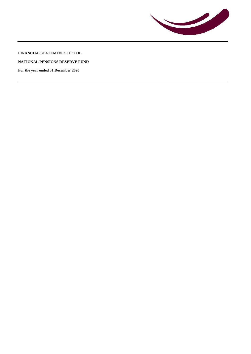

**FINANCIAL STATEMENTS OF THE**

**NATIONAL PENSIONS RESERVE FUND**

**For the year ended 31 December 2020**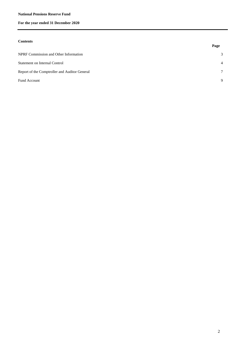#### **National Pensions Reserve Fund**

## **For the year ended 31 December 2020**

#### **Contents**

| $\sim$                                        | Page           |
|-----------------------------------------------|----------------|
| NPRF Commission and Other Information         | 3              |
| <b>Statement on Internal Control</b>          | $\overline{4}$ |
| Report of the Comptroller and Auditor General | $\tau$         |
| Fund Account                                  | 9              |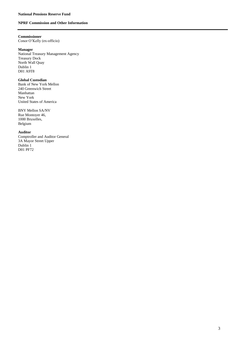### **NPRF Commission and Other Information**

## **Commissioner**

Conor O'Kelly (ex-officio)

#### **Manager**

National Treasury Management Agency Treasury Dock North Wall Quay Dublin 1 D01 A9T8

## **Global Custodian**

Bank of New York Mellon 240 Greenwich Street Manhattan New York United States of America

BNY Mellon SA/NV Rue Montoyer 46, 1000 Bruxelles, Belgium

#### **Auditor**

Comptroller and Auditor General 3A Mayor Street Upper Dublin 1 D01 PF72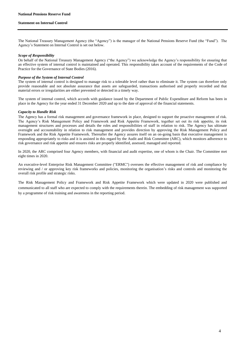#### **Statement on Internal Control**

The National Treasury Management Agency (the "Agency") is the manager of the National Pensions Reserve Fund (the "Fund"). The Agency's Statement on Internal Control is set out below.

#### *Scope of Responsibility*

On behalf of the National Treasury Management Agency ("the Agency") we acknowledge the Agency's responsibility for ensuring that an effective system of internal control is maintained and operated. This responsibility takes account of the requirements of the Code of Practice for the Governance of State Bodies (2016).

#### *Purpose of the System of Internal Control*

The system of internal control is designed to manage risk to a tolerable level rather than to eliminate it. The system can therefore only provide reasonable and not absolute assurance that assets are safeguarded, transactions authorised and properly recorded and that material errors or irregularities are either prevented or detected in a timely way.

The system of internal control, which accords with guidance issued by the Department of Public Expenditure and Reform has been in place in the Agency for the year ended 31 December 2020 and up to the date of approval of the financial statements.

#### *Capacity to Handle Risk*

The Agency has a formal risk management and governance framework in place, designed to support the proactive management of risk. The Agency's Risk Management Policy and Framework and Risk Appetite Framework, together set out its risk appetite, its risk management structures and processes and details the roles and responsibilities of staff in relation to risk. The Agency has ultimate oversight and accountability in relation to risk management and provides direction by approving the Risk Management Policy and Framework and the Risk Appetite Framework. Thereafter the Agency assures itself on an on-going basis that executive management is responding appropriately to risks and it is assisted in this regard by the Audit and Risk Committee (ARC), which monitors adherence to risk governance and risk appetite and ensures risks are properly identified, assessed, managed and reported.

In 2020, the ARC comprised four Agency members, with financial and audit expertise, one of whom is the Chair. The Committee met eight times in 2020.

An executive-level Enterprise Risk Management Committee ("ERMC") oversees the effective management of risk and compliance by reviewing and / or approving key risk frameworks and policies, monitoring the organisation's risks and controls and monitoring the overall risk profile and strategic risks.

The Risk Management Policy and Framework and Risk Appetite Framework which were updated in 2020 were published and communicated to all staff who are expected to comply with the requirements therein. The embedding of risk management was supported by a programme of risk training and awareness in the reporting period.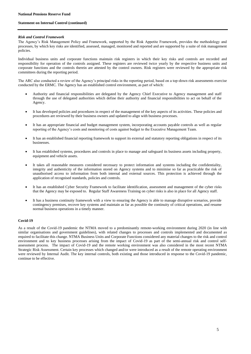#### **Statement on Internal Control (continued)**

#### *Risk and Control Framework*

The Agency's Risk Management Policy and Framework, supported by the Risk Appetite Framework, provides the methodology and processes, by which key risks are identified, assessed, managed, monitored and reported and are supported by a suite of risk management policies.

Individual business units and corporate functions maintain risk registers in which their key risks and controls are recorded and responsibility for operation of the controls assigned. These registers are reviewed twice yearly by the respective business units and corporate functions and the controls therein are attested by the control owners. Risk registers were reviewed by the appropriate risk committees during the reporting period.

The ARC also conducted a review of the Agency's principal risks in the reporting period, based on a top-down risk assessments exercise conducted by the ERMC. The Agency has an established control environment, as part of which:

- Authority and financial responsibilities are delegated by the Agency Chief Executive to Agency management and staff through the use of delegated authorities which define their authority and financial responsibilities to act on behalf of the Agency.
- It has developed policies and procedures in respect of the management of the key aspects of its activities. These policies and procedures are reviewed by their business owners and updated to align with business processes.
- It has an appropriate financial and budget management system, incorporating accounts payable controls as well as regular reporting of the Agency's costs and monitoring of costs against budget to the Executive Management Team.
- It has an established financial reporting framework to support its external and statutory reporting obligations in respect of its businesses.
- It has established systems, procedures and controls in place to manage and safeguard its business assets including property, equipment and vehicle assets.
- It takes all reasonable measures considered necessary to protect information and systems including the confidentiality, integrity and authenticity of the information stored on Agency systems and to minimise so far as practicable the risk of unauthorised access to information from both internal and external sources. This protection is achieved through the application of recognised standards, policies and controls.
- It has an established Cyber Security Framework to facilitate identification, assessment and management of the cyber risks that the Agency may be exposed to. Regular Staff Awareness Training on cyber risks is also in place for all Agency staff.
- It has a business continuity framework with a view to ensuring the Agency is able to manage disruptive scenarios, provide contingency premises, recover key systems and maintain as far as possible the continuity of critical operations, and resume normal business operations in a timely manner.

#### **Covid-19**

As a result of the Covid-19 pandemic the NTMA moved to a predominantly remote-working environment during 2020 (in line with similar organisations and government guidelines), with related changes to processes and controls implemented and documented as required to facilitate this change. NTMA Business Units and Corporate Functions considered any material changes to the risk and control environment and to key business processes arising from the impact of Covid-19 as part of the semi-annual risk and control selfassessment process. The impact of Covid-19 and the remote working environment was also considered in the most recent NTMA Strategic Risk Assessment. Certain key processes which changed and/or were introduced as a result of the remote operating environment were reviewed by Internal Audit. The key internal controls, both existing and those introduced in response to the Covid-19 pandemic, continue to be effective.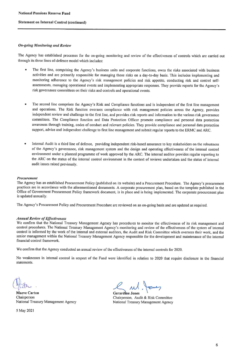#### **Statement on Internal Control (continued)**

#### **On-going Monitoring and Review**

The Agency has established processes for the on-going monitoring and review of the effectiveness of controls which are carried out through its three lines of-defence model which includes:

- The first line, comprising the Agency's business units and corporate functions, owns the risks associated with business activities and are primarily responsible for managing those risks on a day-to-day basis. This includes implementing and monitoring adherence to the Agency's risk management policies and risk appetite, conducting risk and control selfassessments, managing operational events and implementing appropriate responses. They provide reports for the Agency's risk governance committees on their risks and controls and operational events.
- The second line comprises the Agency's Risk and Compliance functions and is independent of the first line management and operations. The Risk function oversees compliance with risk management policies across the Agency, provides independent review and challenge to the first line, and provides risk reports and information to the various risk governance committees. The Compliance function and Data Protection Officer promote compliance and personal data protection awareness through training, codes of conduct and relevant policies. They provide compliance and personal data protection support, advice and independent challenge to first line management and submit regular reports to the ERMC and ARC.
- Internal Audit is a third line of defence, providing independent risk-based assurance to key stakeholders on the robustness  $\bullet$ of the Agency's governance, risk management system and the design and operating effectiveness of the internal control environment under a planned programme of work approved by the ARC. The internal auditor provides regular reporting to the ARC on the status of the internal control environment in the context of reviews undertaken and the status of internal audit issues raised previously.

#### Procurement

The Agency has an established Procurement Policy (published on its website) and a Procurement Procedure. The Agency's procurement practices are in accordance with the aforementioned documents. A corporate procurement plan, based on the template published in the Office of Government Procurement Policy framework document, is in place and is being implemented. The corporate procurement plan is updated annually.

The Agency's Procurement Policy and Procurement Procedure are reviewed on an on-going basis and are updated as required.

#### **Annual Review of Effectiveness**

We confirm that the National Treasury Management Agency has procedures to monitor the effectiveness of its risk management and control procedures. The National Treasury Management Agency's monitoring and review of the effectiveness of the system of internal control is informed by the work of the internal and external auditors, the Audit and Risk Committee which oversees their work, and the senior management within the National Treasury Management Agency responsible for the development and maintenance of the internal financial control framework.

We confirm that the Agency conducted an annual review of the effectiveness of the internal controls for 2020.

No weaknesses in internal control in respect of the Fund were identified in relation to 2020 that require disclosure in the financial statements

**Maeve Carton** Chairperson National Treasury Management Agency

5 May 2021

**Gerardine Jones** 

Chairperson, Audit & Risk Committee National Treasury Management Agency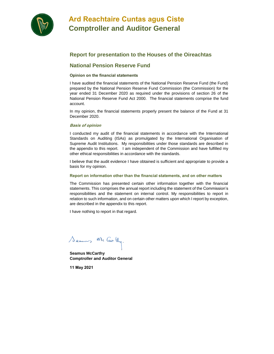

## **Ard Reachtaire Cuntas agus Ciste Comptroller and Auditor General**

## **Report for presentation to the Houses of the Oireachtas**

## **National Pension Reserve Fund**

#### **Opinion on the financial statements**

I have audited the financial statements of the National Pension Reserve Fund (the Fund) prepared by the National Pension Reserve Fund Commission (the Commission) for the year ended 31 December 2020 as required under the provisions of section 26 of the National Pension Reserve Fund Act 2000. The financial statements comprise the fund account.

In my opinion, the financial statements properly present the balance of the Fund at 31 December 2020.

#### **Basis of opinion**

I conducted my audit of the financial statements in accordance with the International Standards on Auditing (ISAs) as promulgated by the International Organisation of Supreme Audit Institutions. My responsibilities under those standards are described in the appendix to this report. I am independent of the Commission and have fulfilled my other ethical responsibilities in accordance with the standards.

I believe that the audit evidence I have obtained is sufficient and appropriate to provide a basis for my opinion.

#### **Report on information other than the financial statements, and on other matters**

The Commission has presented certain other information together with the financial statements. This comprises the annual report including the statement of the Commission's responsibilities and the statement on internal control. My responsibilities to report in relation to such information, and on certain other matters upon which I report by exception, are described in the appendix to this report.

I have nothing to report in that regard.

Seams Mc Cartly.

**Seamus McCarthy Comptroller and Auditor General**

**11 May 2021**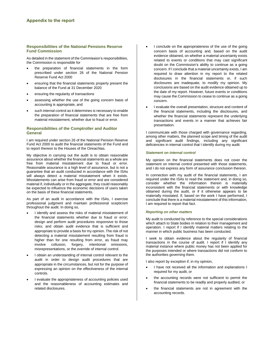#### **Responsibilities of the National Pensions Reserve Fund Commission**

As detailed in the statement of the Commission's responsibilities, the Commission is responsible for

- the preparation of financial statements in the form prescribed under section 26 of the National Pension Reserve Fund Act 2000
- ensuring that the financial statements properly present the balance of the Fund at 31 December 2020
- ensuring the regularity of transactions
- assessing whether the use of the going concern basis of accounting is appropriate, and
- such internal control as it determines is necessary to enable the preparation of financial statements that are free from material misstatement, whether due to fraud or error.

#### **Responsibilities of the Comptroller and Auditor General**

I am required under section 26 of the National Pension Reserve Fund Act 2000 to audit the financial statements of the Fund and to report thereon to the Houses of the Oireachtas.

My objective in carrying out the audit is to obtain reasonable assurance about whether the financial statements as a whole are free from material misstatement due to fraud or error. Reasonable assurance is a high level of assurance, but is not a guarantee that an audit conducted in accordance with the ISAs will always detect a material misstatement when it exists. Misstatements can arise from fraud or error and are considered material if, individually or in the aggregate, they could reasonably be expected to influence the economic decisions of users taken on the basis of these financial statements.

As part of an audit in accordance with the ISAs, I exercise professional judgment and maintain professional scepticism throughout the audit. In doing so,

- I identify and assess the risks of material misstatement of the financial statements whether due to fraud or error; design and perform audit procedures responsive to those risks; and obtain audit evidence that is sufficient and appropriate to provide a basis for my opinion. The risk of not detecting a material misstatement resulting from fraud is higher than for one resulting from error, as fraud may involve collusion, forgery, intentional omissions, misrepresentations, or the override of internal control.
- I obtain an understanding of internal control relevant to the audit in order to design audit procedures that are appropriate in the circumstances, but not for the purpose of expressing an opinion on the effectiveness of the internal controls.
- I evaluate the appropriateness of accounting policies used and the reasonableness of accounting estimates and related disclosures.
- I conclude on the appropriateness of the use of the going concern basis of accounting and, based on the audit evidence obtained, on whether a material uncertainty exists related to events or conditions that may cast significant doubt on the Commission's ability to continue as a going concern. If I conclude that a material uncertainty exists, I am required to draw attention in my report to the related disclosures in the financial statements or, if such disclosures are inadequate, to modify my opinion. My conclusions are based on the audit evidence obtained up to the date of my report. However, future events or conditions may cause the Commission to cease to continue as a going concern.
- I evaluate the overall presentation, structure and content of the financial statements, including the disclosures, and whether the financial statements represent the underlying transactions and events in a manner that achieves fair presentation.

I communicate with those charged with governance regarding, among other matters, the planned scope and timing of the audit and significant audit findings, including any significant deficiencies in internal control that I identify during my audit.

#### *Statement on internal control*

My opinion on the financial statements does not cover the statement on internal control presented with those statements, and I do not express any form of assurance conclusion thereon.

In connection with my audit of the financial statements, I am required under the ISAs to read the statement and, in doing so, consider whether the information therein is materially inconsistent with the financial statements or with knowledge obtained during the audit, or if it otherwise appears to be materially misstated. If, based on the work I have performed, I conclude that there is a material misstatement of this information, I am required to report that fact.

#### *Reporting on other matters*

My audit is conducted by reference to the special considerations which attach to State bodies in relation to their management and operation. I report if I identify material matters relating to the manner in which public business has been conducted.

I seek to obtain evidence about the regularity of financial transactions in the course of audit. I report if I identify any material instance where public money has not been applied for the purposes intended or where transactions did not conform to the authorities governing them.

I also report by exception if, in my opinion,

- I have not received all the information and explanations I required for my audit, or
- the accounting records were not sufficient to permit the financial statements to be readily and properly audited, or
- the financial statements are not in agreement with the accounting records.